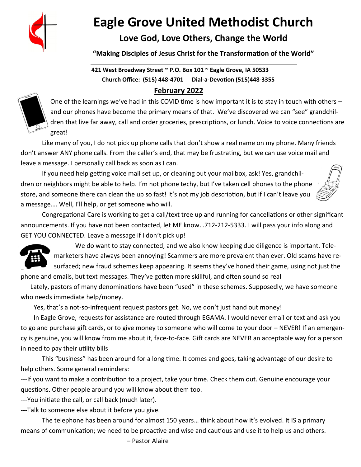

# **Eagle Grove United Methodist Church**

### **Love God, Love Others, Change the World**

**"Making Disciples of Jesus Christ for the Transformation of the World"**

#### **\_\_\_\_\_\_\_\_\_\_\_\_\_\_\_\_\_\_\_\_ 421 West Broadway Street ~ P.O. Box 101 ~ Eagle Grove, IA 50533 Church Office: (515) 448-4701 Dial-a-Devotion (515**)**448-3355 February 2022**



One of the learnings we've had in this COVID time is how important it is to stay in touch with others – and our phones have become the primary means of that. We've discovered we can "see" grandchildren that live far away, call and order groceries, prescriptions, or lunch. Voice to voice connections are great!

 Like many of you, I do not pick up phone calls that don't show a real name on my phone. Many friends don't answer ANY phone calls. From the caller's end, that may be frustrating, but we can use voice mail and leave a message. I personally call back as soon as I can.

 If you need help getting voice mail set up, or cleaning out your mailbox, ask! Yes, grandchildren or neighbors might be able to help. I'm not phone techy, but I've taken cell phones to the phone store, and someone there can clean the up so fast! It's not my job description, but if I can't leave you a message…. Well, I'll help, or get someone who will.



 Congregational Care is working to get a call/text tree up and running for cancellations or other significant announcements. If you have not been contacted, let ME know…712-212-5333. I will pass your info along and GET YOU CONNECTED. Leave a message if I don't pick up!



 We do want to stay connected, and we also know keeping due diligence is important. Telemarketers have always been annoying! Scammers are more prevalent than ever. Old scams have resurfaced; new fraud schemes keep appearing. It seems they've honed their game, using not just the phone and emails, but text messages. They've gotten more skillful, and often sound so real

 Lately, pastors of many denominations have been "used" in these schemes. Supposedly, we have someone who needs immediate help/money.

Yes, that's a not-so-infrequent request pastors get. No, we don't just hand out money!

In Eagle Grove, requests for assistance are routed through EGAMA. I would never email or text and ask you to go and purchase gift cards, or to give money to someone who will come to your door – NEVER! If an emergency is genuine, you will know from me about it, face-to-face. Gift cards are NEVER an acceptable way for a person in need to pay their utility bills

 This "business" has been around for a long time. It comes and goes, taking advantage of our desire to help others. Some general reminders:

---If you want to make a contribution to a project, take your time. Check them out. Genuine encourage your questions. Other people around you will know about them too.

---You initiate the call, or call back (much later).

---Talk to someone else about it before you give.

 The telephone has been around for almost 150 years… think about how it's evolved. It IS a primary means of communication; we need to be proactive and wise and cautious and use it to help us and others.

– Pastor Alaire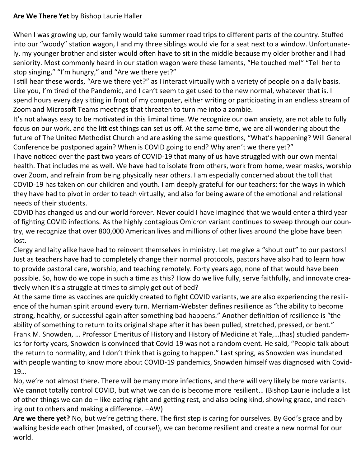#### **Are We There Yet** by Bishop Laurie Haller

When I was growing up, our family would take summer road trips to different parts of the country. Stuffed into our "woody" station wagon, I and my three siblings would vie for a seat next to a window. Unfortunately, my younger brother and sister would often have to sit in the middle because my older brother and I had seniority. Most commonly heard in our station wagon were these laments, "He touched me!" "Tell her to stop singing," "I'm hungry," and "Are we there yet?"

I still hear these words, "Are we there yet?" as I interact virtually with a variety of people on a daily basis. Like you, I'm tired of the Pandemic, and I can't seem to get used to the new normal, whatever that is. I spend hours every day sitting in front of my computer, either writing or participating in an endless stream of Zoom and Microsoft Teams meetings that threaten to turn me into a zombie.

It's not always easy to be motivated in this liminal time. We recognize our own anxiety, are not able to fully focus on our work, and the littlest things can set us off. At the same time, we are all wondering about the future of The United Methodist Church and are asking the same questions, "What's happening? Will General Conference be postponed again? When is COVID going to end? Why aren't we there yet?"

I have noticed over the past two years of COVID-19 that many of us have struggled with our own mental health. That includes me as well. We have had to isolate from others, work from home, wear masks, worship over Zoom, and refrain from being physically near others. I am especially concerned about the toll that COVID-19 has taken on our children and youth. I am deeply grateful for our teachers: for the ways in which they have had to pivot in order to teach virtually, and also for being aware of the emotional and relational needs of their students.

COVID has changed us and our world forever. Never could I have imagined that we would enter a third year of fighting COVID infections. As the highly contagious Omicron variant continues to sweep through our country, we recognize that over 800,000 American lives and millions of other lives around the globe have been lost.

Clergy and laity alike have had to reinvent themselves in ministry. Let me give a "shout out" to our pastors! Just as teachers have had to completely change their normal protocols, pastors have also had to learn how to provide pastoral care, worship, and teaching remotely. Forty years ago, none of that would have been possible. So, how do we cope in such a time as this? How do we live fully, serve faithfully, and innovate creatively when it's a struggle at times to simply get out of bed?

At the same time as vaccines are quickly created to fight COVID variants, we are also experiencing the resilience of the human spirit around every turn. Merriam-Webster defines resilience as "the ability to become strong, healthy, or successful again after something bad happens." Another definition of resilience is "the ability of something to return to its original shape after it has been pulled, stretched, pressed, or bent." Frank M. Snowden, … Professor Emeritus of History and History of Medicine at Yale,…(has) studied pandemics for forty years, Snowden is convinced that Covid-19 was not a random event. He said, "People talk about the return to normality, and I don't think that is going to happen." Last spring, as Snowden was inundated with people wanting to know more about COVID-19 pandemics, Snowden himself was diagnosed with Covid-19…

No, we're not almost there. There will be many more infections, and there will very likely be more variants. We cannot totally control COVID, but what we can do is become more resilient… (Bishop Laurie include a list of other things we can do – like eating right and getting rest, and also being kind, showing grace, and reaching out to others and making a difference. –AW)

**Are we there yet?** No, but we're getting there. The first step is caring for ourselves. By God's grace and by walking beside each other (masked, of course!), we can become resilient and create a new normal for our world.